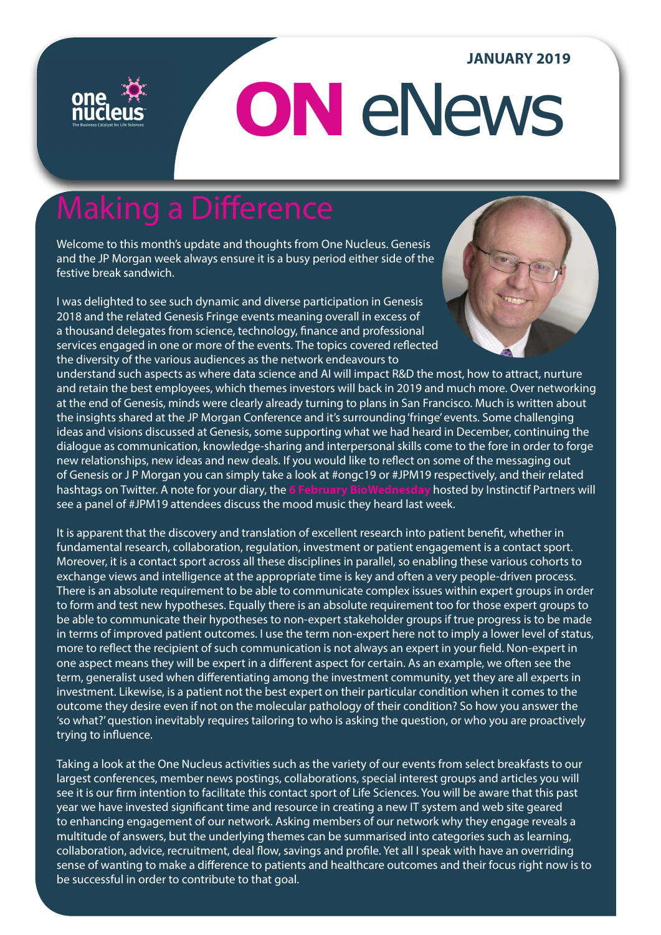### **JANUARY 2019**

# **ON** eNews

# Making a Difference

Welcome to this month's update and thoughts from One Nucleus. Genesis and the JP Morgan week always ensure it is a busy period either side of the festive break sandwich.

I was delighted to see such dynamic and diverse participation in Genesis 2018 and the related Genesis Fringe events meaning overall in excess of a thousand delegates from science, technology, finance and professional services engaged in one or more of the events. The topics covered reflected the diversity of the various audiences as the network endeavours to



understand such aspects as where data science and AI will impact R&D the most, how to attract, nurture and retain the best employees, which themes investors will back in 2019 and much more. Over networking at the end of Genesis, minds were clearly already turning to plans in San Francisco. Much is written about the insights shared at the JP Morgan Conference and it's surrounding 'fringe' events. Some challenging ideas and visions discussed at Genesis, some supporting what we had heard in December, continuing the dialogue as communication, knowledge-sharing and interpersonal skills come to the fore in order to forge new relationships, new ideas and new deals. If you would like to reflect on some of the messaging out of Genesis or J P Morgan you can simply take a look at #ongc19 or #JPM19 respectively, and their related hashtags on Twitter. A note for your diary, the **[6 February BioWednesday](http://bit.ly/BioWednesdayJPMorgan)** hosted by Instinctif Partners will see a panel of #JPM19 attendees discuss the mood music they heard last week.

It is apparent that the discovery and translation of excellent research into patient benefit, whether in fundamental research, collaboration, regulation, investment or patient engagement is a contact sport. Moreover, it is a contact sport across all these disciplines in parallel, so enabling these various cohorts to exchange views and intelligence at the appropriate time is key and often a very people-driven process. There is an absolute requirement to be able to communicate complex issues within expert groups in order to form and test new hypotheses. Equally there is an absolute requirement too for those expert groups to be able to communicate their hypotheses to non-expert stakeholder groups if true progress is to be made in terms of improved patient outcomes. I use the term non-expert here not to imply a lower level of status, more to reflect the recipient of such communication is not always an expert in your field. Non-expert in one aspect means they will be expert in a different aspect for certain. As an example, we often see the term, generalist used when differentiating among the investment community, yet they are all experts in investment. Likewise, is a patient not the best expert on their particular condition when it comes to the outcome they desire even if not on the molecular pathology of their condition? So how you answer the 'so what?' question inevitably requires tailoring to who is asking the question, or who you are proactively trying to influence.

Taking a look at the One Nucleus activities such as the variety of our events from select breakfasts to our largest conferences, member news postings, collaborations, special interest groups and articles you will see it is our firm intention to facilitate this contact sport of Life Sciences. You will be aware that this past year we have invested significant time and resource in creating a new IT system and web site geared to enhancing engagement of our network. Asking members of our network why they engage reveals a multitude of answers, but the underlying themes can be summarised into categories such as learning, collaboration, advice, recruitment, deal flow, savings and profile. Yet all I speak with have an overriding sense of wanting to make a difference to patients and healthcare outcomes and their focus right now is to be successful in order to contribute to that goal.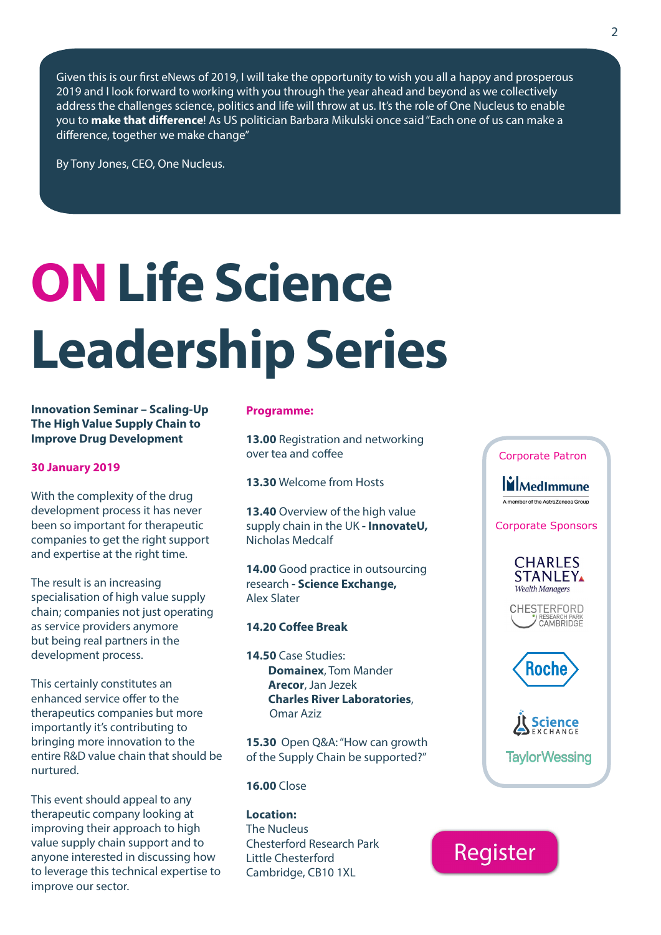Given this is our first eNews of 2019, I will take the opportunity to wish you all a happy and prosperous 2019 and I look forward to working with you through the year ahead and beyond as we collectively address the challenges science, politics and life will throw at us. It's the role of One Nucleus to enable you to **make that difference**! As US politician Barbara Mikulski once said "Each one of us can make a difference, together we make change"

By Tony Jones, CEO, One Nucleus.

# **ON Life Science Leadership Series**

**Innovation Seminar – Scaling-Up The High Value Supply Chain to Improve Drug Development**

#### **30 January 2019**

With the complexity of the drug development process it has never been so important for therapeutic companies to get the right support and expertise at the right time.

The result is an increasing specialisation of high value supply chain; companies not just operating as service providers anymore but being real partners in the development process.

This certainly constitutes an enhanced service offer to the therapeutics companies but more importantly it's contributing to bringing more innovation to the entire R&D value chain that should be nurtured.

This event should appeal to any therapeutic company looking at improving their approach to high value supply chain support and to anyone interested in discussing how to leverage this technical expertise to improve our sector.

#### **Programme:**

**13.00** Registration and networking over tea and coffee

**13.30** Welcome from Hosts

**13.40** Overview of the high value supply chain in the UK **- InnovateU,**  Nicholas Medcalf

**14.00** Good practice in outsourcing research **- Science Exchange,** Alex Slater

#### **14.20 Coffee Break**

**14.50** Case Studies:  **Domainex**, Tom Mander  **Arecor**, Jan Jezek  **Charles River Laboratories**, Omar Aziz

**15.30** Open Q&A: "How can growth of the Supply Chain be supported?"

#### **16.00** Close

**Location:** The Nucleus Chesterford Research Park Little Chesterford Cambridge, CB10 1XL



**MedImmune** A member of the AstraZeneca Group

Corporate Sponsors



CHESTERFORD CAMBRIDGE



**Science TavlorWessing** 

## Register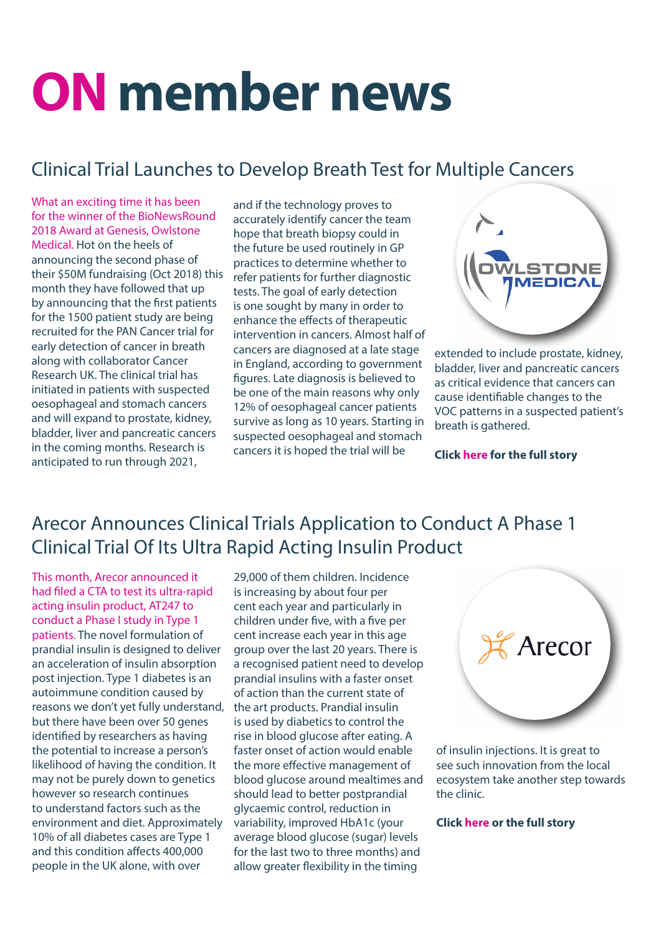# **ON member news**

### Clinical Trial Launches to Develop Breath Test for Multiple Cancers

What an exciting time it has been for the winner of the BioNewsRound 2018 Award at Genesis, Owlstone Medical. Hot on the heels of announcing the second phase of their \$50M fundraising (Oct 2018) this month they have followed that up by announcing that the first patients for the 1500 patient study are being recruited for the PAN Cancer trial for early detection of cancer in breath along with collaborator Cancer Research UK. The clinical trial has initiated in patients with suspected oesophageal and stomach cancers and will expand to prostate, kidney, bladder, liver and pancreatic cancers in the coming months. Research is anticipated to run through 2021,

and if the technology proves to accurately identify cancer the team hope that breath biopsy could in the future be used routinely in GP practices to determine whether to refer patients for further diagnostic tests. The goal of early detection is one sought by many in order to enhance the effects of therapeutic intervention in cancers. Almost half of cancers are diagnosed at a late stage in England, according to government figures. Late diagnosis is believed to be one of the main reasons why only 12% of oesophageal cancer patients survive as long as 10 years. Starting in suspected oesophageal and stomach cancers it is hoped the trial will be



extended to include prostate, kidney, bladder, liver and pancreatic cancers as critical evidence that cancers can cause identifiable changes to the VOC patterns in a suspected patient's breath is gathered.

**Click [here](https://onenucleus.com/clinical-trial-launches-develop-breath-test-multiple-cancers) for the full story** 

### Arecor Announces Clinical Trials Application to Conduct A Phase 1 Clinical Trial Of Its Ultra Rapid Acting Insulin Product

This month, Arecor announced it had filed a CTA to test its ultra-rapid acting insulin product, AT247 to conduct a Phase I study in Type 1 patients. The novel formulation of prandial insulin is designed to deliver an acceleration of insulin absorption post injection. Type 1 diabetes is an autoimmune condition caused by reasons we don't yet fully understand, but there have been over 50 genes identified by researchers as having the potential to increase a person's likelihood of having the condition. It may not be purely down to genetics however so research continues to understand factors such as the environment and diet. Approximately 10% of all diabetes cases are Type 1 and this condition affects 400,000 people in the UK alone, with over

29,000 of them children. Incidence is increasing by about four per cent each year and particularly in children under five, with a five per cent increase each year in this age group over the last 20 years. There is a recognised patient need to develop prandial insulins with a faster onset of action than the current state of the art products. Prandial insulin is used by diabetics to control the rise in blood glucose after eating. A faster onset of action would enable the more effective management of blood glucose around mealtimes and should lead to better postprandial glycaemic control, reduction in variability, improved HbA1c (your average blood glucose (sugar) levels for the last two to three months) and allow greater flexibility in the timing



of insulin injections. It is great to see such innovation from the local ecosystem take another step towards the clinic.

**Click [here](https://onenucleus.com/arecor-announces-clinical-trials-application-conduct-phase-1-clinical-trial-its-ultra-rapid-acting%20) or the full story**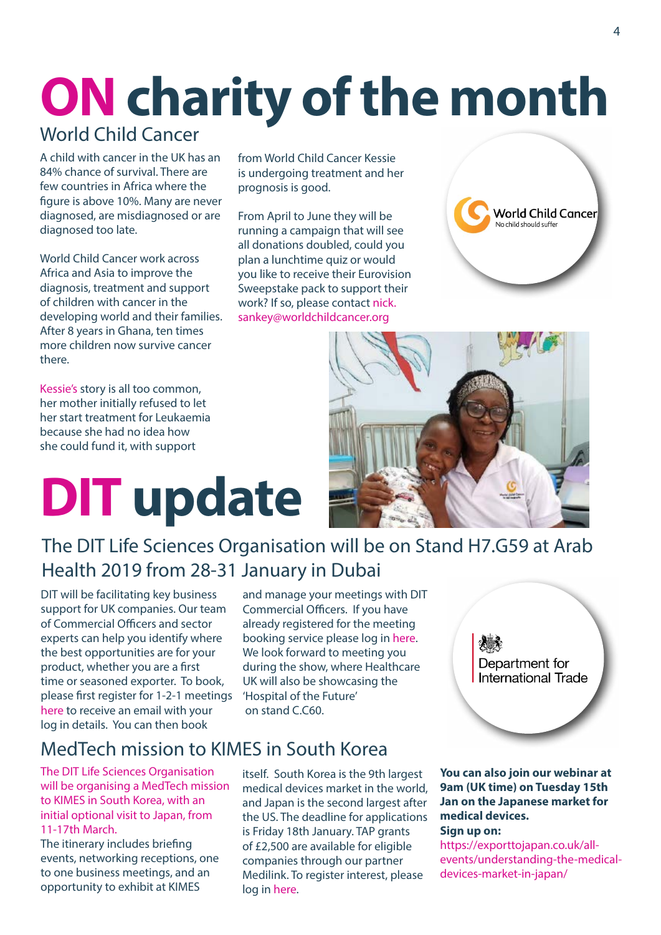# **ON charity of the month**

### World Child Cancer

A child with cancer in the UK has an 84% chance of survival. There are few countries in Africa where the figure is above 10%. Many are never diagnosed, are misdiagnosed or are diagnosed too late.

World Child Cancer work across Africa and Asia to improve the diagnosis, treatment and support of children with cancer in the developing world and their families. After 8 years in Ghana, ten times more children now survive cancer there.

[Kessie's](https://www.worldchildcancer.org/stories/meet-afi) story is all too common, her mother initially refused to let her start treatment for Leukaemia because she had no idea how she could fund it, with support

**DIT update**

### The DIT Life Sciences Organisation will be on Stand H7.G59 at Arab Health 2019 from 28-31 January in Dubai

DIT will be facilitating key business support for UK companies. Our team of Commercial Officers and sector experts can help you identify where the best opportunities are for your product, whether you are a first time or seasoned exporter. To book, please first register for 1-2-1 meetings [here](https://www.events.great.gov.uk/ereg/newreg.php%3Feventid%3D200184645%26%26tabid%3D200442955%26%26categoryid%3D201516801) to receive an email with your log in details. You can then book

#### and manage your meetings with DIT Commercial Officers. If you have already registered for the meeting booking service please log in [here](https://www.events.great.gov.uk/esocial/200184645/). We look forward to meeting you during the show, where Healthcare UK will also be showcasing the 'Hospital of the Future' on stand C.C60.

### MedTech mission to KIMES in South Korea

The DIT Life Sciences Organisation will be organising a MedTech mission to KIMES in South Korea, with an initial optional visit to Japan, from 11-17th March.

The itinerary includes briefing events, networking receptions, one to one business meetings, and an opportunity to exhibit at KIMES

itself. South Korea is the 9th largest medical devices market in the world, and Japan is the second largest after the US. The deadline for applications is Friday 18th January. TAP grants of £2,500 are available for eligible companies through our partner Medilink. To register interest, please log in [here.](https://exporttojapan.co.uk/events/medtech-mission-to-kimes-south-korea-and-japan/)

#### **You can also join our webinar at 9am (UK time) on Tuesday 15th Jan on the Japanese market for medical devices. Sign up on:**

Department for International Trade

[https://exporttojapan.co.uk/all](https://exporttojapan.co.uk/all-events/understanding-the-medical-devices-market-in-japan/)[events/understanding-the-medical](https://exporttojapan.co.uk/all-events/understanding-the-medical-devices-market-in-japan/)[devices-market-in-japan/](https://exporttojapan.co.uk/all-events/understanding-the-medical-devices-market-in-japan/)

from World Child Cancer Kessie is undergoing treatment and her prognosis is good.

From April to June they will be running a campaign that will see all donations doubled, could you plan a lunchtime quiz or would you like to receive their Eurovision Sweepstake pack to support their work? If so, please contact [nick.](mailto:nick.sankey%40worldchildcancer.org?subject=) [sankey@worldchildcancer.org](mailto:nick.sankey%40worldchildcancer.org?subject=)



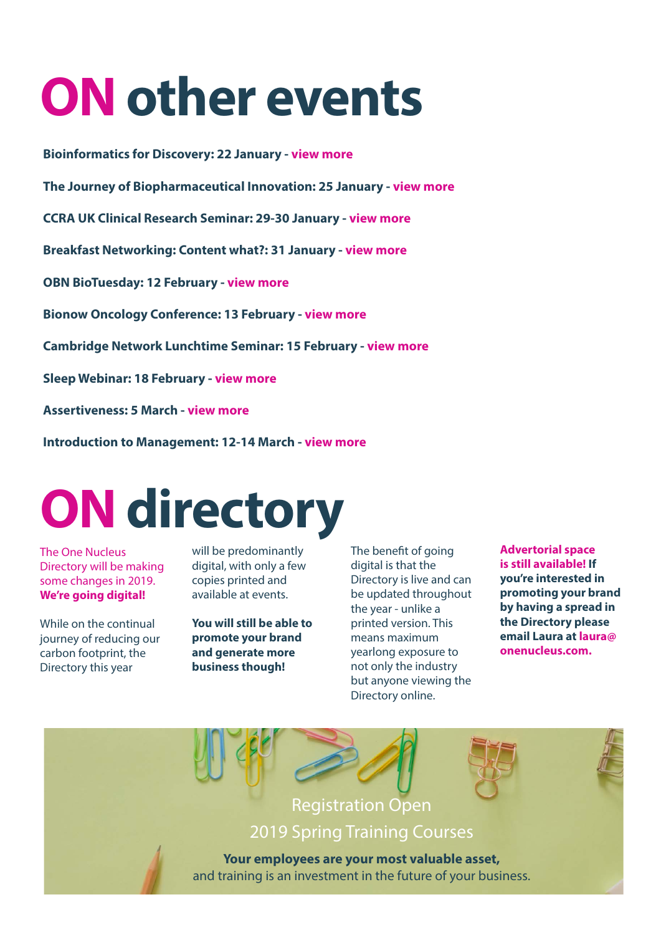# **ON other events**

**Bioinformatics for Discovery: 22 January - [view more](https://onenucleus.com/bioinformatics-discovery)**

**The Journey of Biopharmaceutical Innovation: 25 January - [view more](https://onenucleus.com/journey-biopharmaceutical-innovation)**

**CCRA UK Clinical Research Seminar: 29-30 January - [view more](https://onenucleus.com/uk-clinical-research-professional-awareness-update-landscape-cros-post-brexit)**

**Breakfast Networking: Content what?: 31 January - [view more](https://onenucleus.com/breakfast-networking-content-what-introduction-content-marketing)**

**OBN BioTuesday: 12 February - [view more](https://onenucleus.com/obn-biotuesday-whats-new-microbiome-research)**

**Bionow Oncology Conference: 13 February - [view more](https://www.bionow.co.uk/events/acceleratingcancerdrugdevelopmentfromtarget.aspx)**

**Cambridge Network Lunchtime Seminar: 15 February - [view more](https://onenucleus.com/making-most-cambridge-network-membership-lunchtime-seminar)**

**Sleep Webinar: 18 February - [view more](https://onenucleus.com/free-sleep-webinar-cambridge-based-nhs-patients)**

**Assertiveness: 5 March - [view more](https://onenucleus.com/assertiveness)**

**Introduction to Management: 12-14 March - [view more](https://onenucleus.com/introduction-management)**

# **ON directory**

The One Nucleus Directory will be making some changes in 2019. **We're going digital!**

While on the continual journey of reducing our carbon footprint, the Directory this year

will be predominantly digital, with only a few copies printed and available at events.

**You will still be able to promote your brand and generate more business though!** 

The benefit of going digital is that the Directory is live and can be updated throughout the year - unlike a printed version. This means maximum yearlong exposure to not only the industry but anyone viewing the Directory online.

**Advertorial space is still available! If you're interested in promoting your brand by having a spread in the Directory please email Laura at [laura@](mailto:laura%40onenucleus.com?subject=) [onenucleus.com.](mailto:laura%40onenucleus.com?subject=)**